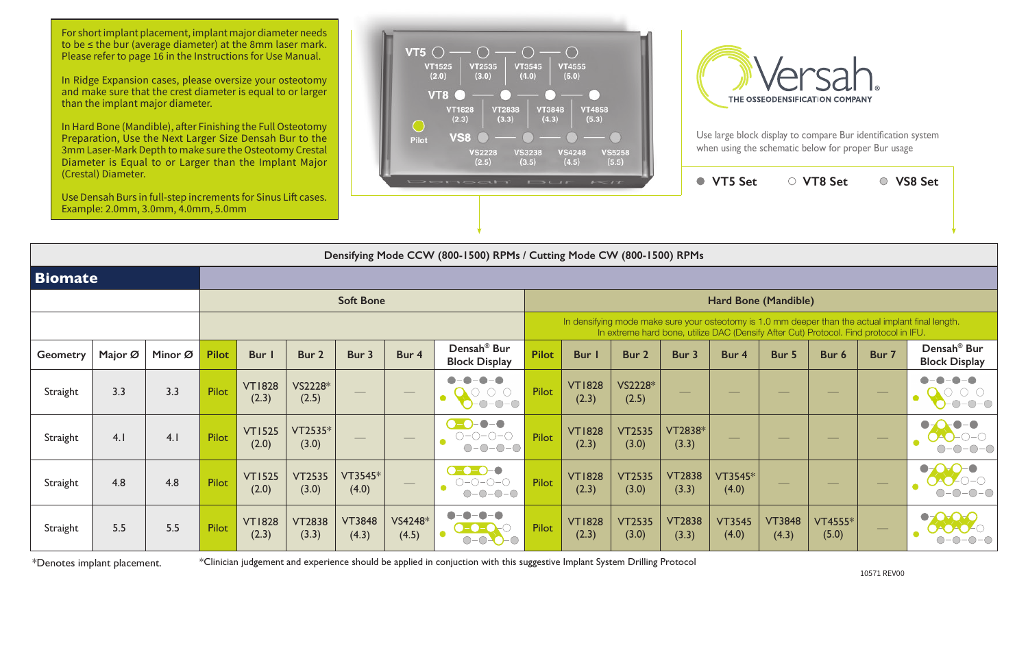| $i = i +$              |                         |                        | <b>VT5 Set</b>                                                                        |                        | <b>VT8 Set</b>          |       | <b>VS8 Set</b>                                                                                     |
|------------------------|-------------------------|------------------------|---------------------------------------------------------------------------------------|------------------------|-------------------------|-------|----------------------------------------------------------------------------------------------------|
|                        |                         |                        |                                                                                       |                        |                         |       |                                                                                                    |
|                        | Mode CW (800-1500) RPMs |                        |                                                                                       |                        |                         |       |                                                                                                    |
|                        |                         |                        |                                                                                       |                        |                         |       |                                                                                                    |
|                        |                         |                        | Hard Bone (Mandible)                                                                  |                        |                         |       |                                                                                                    |
|                        |                         |                        | In extreme hard bone, utilize DAC (Densify After Cut) Protocol. Find protocol in IFU. |                        |                         |       | In densifying mode make sure your osteotomy is 1.0 mm deeper than the actual implant final length. |
| Bur I                  | Bur <sub>2</sub>        | Bur 3                  | Bur 4                                                                                 | Bur 5                  | Bur 6                   | Bur 7 | Densah <sup>®</sup> Bur<br><b>Block Display</b>                                                    |
| <b>VT1828</b><br>(2.3) | VS2228*<br>(2.5)        |                        |                                                                                       |                        |                         |       |                                                                                                    |
| <b>VT1828</b><br>(2.3) | <b>VT2535</b><br>(3.0)  | VT2838*<br>(3.3)       |                                                                                       |                        |                         |       |                                                                                                    |
| <b>VT1828</b><br>(2.3) | <b>VT2535</b><br>(3.0)  | <b>VT2838</b><br>(3.3) | VT3545*<br>(4.0)                                                                      |                        |                         |       |                                                                                                    |
| <b>VT1828</b><br>(2.3) | <b>VT2535</b><br>(3.0)  | <b>VT2838</b><br>(3.3) | <b>VT3545</b><br>(4.0)                                                                | <b>VT3848</b><br>(4.3) | <b>VT4555*</b><br>(5.0) |       |                                                                                                    |

|                  | Densifying Mode CCW (800-1500) RPMs / Cutting Mode CW (800-1500) RPMs |         |              |                        |                        |                                 |                      |                                                                                       |                                                                                                                                                                                             |                        |                        |                        |                        |                        |                         |                                             |                                                 |
|------------------|-----------------------------------------------------------------------|---------|--------------|------------------------|------------------------|---------------------------------|----------------------|---------------------------------------------------------------------------------------|---------------------------------------------------------------------------------------------------------------------------------------------------------------------------------------------|------------------------|------------------------|------------------------|------------------------|------------------------|-------------------------|---------------------------------------------|-------------------------------------------------|
| <b>Biomate</b>   |                                                                       |         |              |                        |                        |                                 |                      |                                                                                       |                                                                                                                                                                                             |                        |                        |                        |                        |                        |                         |                                             |                                                 |
| <b>Soft Bone</b> |                                                                       |         |              |                        |                        |                                 | Hard Bone (Mandible) |                                                                                       |                                                                                                                                                                                             |                        |                        |                        |                        |                        |                         |                                             |                                                 |
|                  |                                                                       |         |              |                        |                        |                                 |                      |                                                                                       | In densifying mode make sure your osteotomy is 1.0 mm deeper than the actual implant final length.<br>In extreme hard bone, utilize DAC (Densify After Cut) Protocol. Find protocol in IFU. |                        |                        |                        |                        |                        |                         |                                             |                                                 |
| <b>Geometry</b>  | Major Ø                                                               | Minor Ø | <b>Pilot</b> | Bur I                  | Bur 2                  | Bur 3                           | Bur 4                | Densah <sup>®</sup> Bur<br><b>Block Display</b>                                       | <b>Pilot</b>                                                                                                                                                                                | Bur I                  | Bur 2                  | Bur 3                  | Bur 4                  | Bur 5                  | Bur 6                   | Bur 7                                       | Densah <sup>®</sup> Bur<br><b>Block Display</b> |
| Straight         | 3.3                                                                   | 3.3     | <b>Pilot</b> | <b>VT1828</b><br>(2.3) | VS2228*<br>(2.5)       | $\hspace{0.05cm}$               | $\hspace{0.05cm}$    | $ \bigcirc$ $ \bigcirc$<br>O<br>$ \bigcirc$ $ \bigcirc$                               | <b>Pilot</b>                                                                                                                                                                                | <b>VT1828</b><br>(2.3) | VS2228*<br>(2.5)       |                        |                        |                        |                         | $\hspace{1.0cm} \overbrace{\hspace{1.0cm}}$ |                                                 |
| Straight         | 4.1                                                                   | 4.1     | <b>Pilot</b> | <b>VT1525</b><br>(2.0) | VT2535*<br>(3.0)       | $\hspace{0.1mm}-\hspace{0.1mm}$ | $\hspace{0.05cm}$    | $\bullet$ - $\bullet$<br>$\bullet$ - $\bullet$<br>$O-O-O-O$<br>$\bullet$<br>$O-O-O-O$ | <b>Pilot</b>                                                                                                                                                                                | <b>VT1828</b><br>(2.3) | <b>VT2535</b><br>(3.0) | VT2838*<br>(3.3)       |                        |                        |                         | $\hspace{0.05cm}$                           | $O-O-O-$                                        |
| Straight         | 4.8                                                                   | 4.8     | Pilot        | <b>VT1525</b><br>(2.0) | <b>VT2535</b><br>(3.0) | $VT3545*$<br>(4.0)              | $\hspace{0.05cm}$    | $-0-0-0$<br>$O-O-O-O$                                                                 | <b>Pilot</b>                                                                                                                                                                                | <b>VT1828</b><br>(2.3) | <b>VT2535</b><br>(3.0) | <b>VT2838</b><br>(3.3) | VT3545*<br>(4.0)       |                        |                         |                                             | $\bullet$                                       |
| Straight         | 5.5                                                                   | 5.5     | <b>Pilot</b> | <b>VT1828</b><br>(2.3) | <b>VT2838</b><br>(3.3) | <b>VT3848</b><br>(4.3)          | VS4248*<br>(4.5)     |                                                                                       | <b>Pilot</b>                                                                                                                                                                                | <b>VT1828</b><br>(2.3) | <b>VT2535</b><br>(3.0) | <b>VT2838</b><br>(3.3) | <b>VT3545</b><br>(4.0) | <b>VT3848</b><br>(4.3) | <b>VT4555*</b><br>(5.0) |                                             |                                                 |

For short implant placement, implant major diameter needs to be ≤ the bur (average diameter) at the 8mm laser mark. Please refer to page 16 in the Instructions for Use Manual.

\*Denotes implant placement.

\*Clinician judgement and experience should be applied in conjuction with this suggestive Implant System Drilling Protocol

In Ridge Expansion cases, please oversize your osteotomy and make sure that the crest diameter is equal to or larger than the implant major diameter.

In Hard Bone (Mandible), after Finishing the Full Osteotomy Preparation, Use the Next Larger Size Densah Bur to the 3mm Laser-Mark Depth to make sure the Osteotomy Crestal Diameter is Equal to or Larger than the Implant Major (Crestal) Diameter.

Use Densah Burs in full-step increments for Sinus Lift cases. Example: 2.0mm, 3.0mm, 4.0mm, 5.0mm





Use large block display to compare Bur identification system when using the schematic below for proper Bur usage